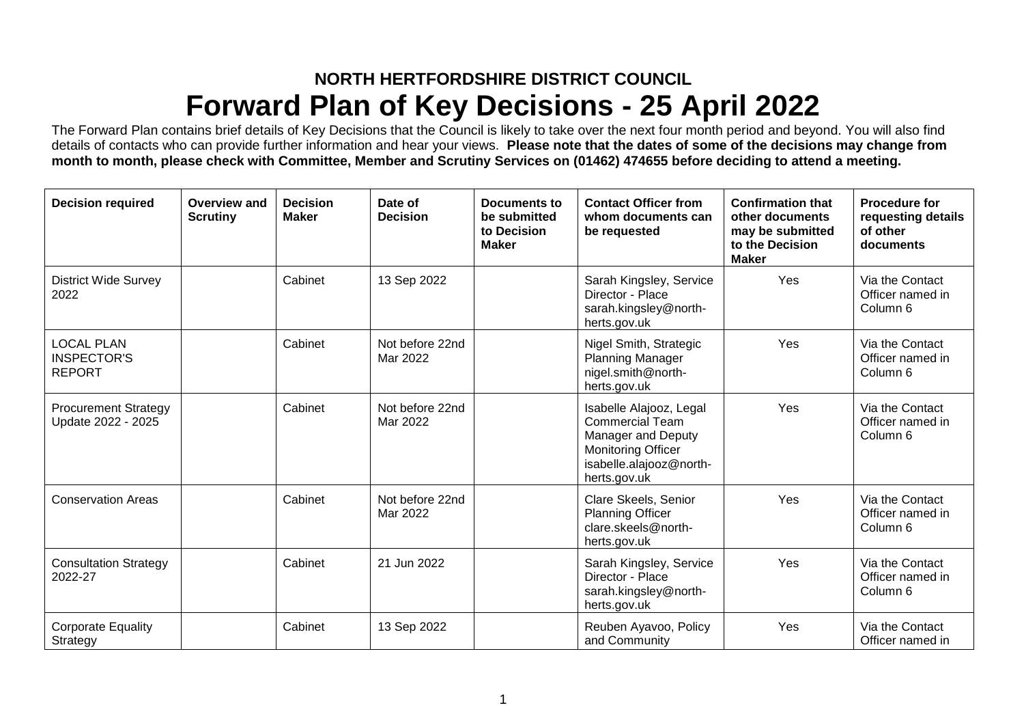## **NORTH HERTFORDSHIRE DISTRICT COUNCIL Forward Plan of Key Decisions - 25 April 2022**

The Forward Plan contains brief details of Key Decisions that the Council is likely to take over the next four month period and beyond. You will also find details of contacts who can provide further information and hear your views. **Please note that the dates of some of the decisions may change from month to month, please check with Committee, Member and Scrutiny Services on (01462) 474655 before deciding to attend a meeting.**

| <b>Decision required</b>                                 | <b>Overview and</b><br><b>Scrutiny</b> | <b>Decision</b><br><b>Maker</b> | Date of<br><b>Decision</b>  | Documents to<br>be submitted<br>to Decision<br><b>Maker</b> | <b>Contact Officer from</b><br>whom documents can<br>be requested                                                                               | <b>Confirmation that</b><br>other documents<br>may be submitted<br>to the Decision<br><b>Maker</b> | <b>Procedure for</b><br>requesting details<br>of other<br>documents |
|----------------------------------------------------------|----------------------------------------|---------------------------------|-----------------------------|-------------------------------------------------------------|-------------------------------------------------------------------------------------------------------------------------------------------------|----------------------------------------------------------------------------------------------------|---------------------------------------------------------------------|
| <b>District Wide Survey</b><br>2022                      |                                        | Cabinet                         | 13 Sep 2022                 |                                                             | Sarah Kingsley, Service<br>Director - Place<br>sarah.kingsley@north-<br>herts.gov.uk                                                            | Yes                                                                                                | Via the Contact<br>Officer named in<br>Column 6                     |
| <b>LOCAL PLAN</b><br><b>INSPECTOR'S</b><br><b>REPORT</b> |                                        | Cabinet                         | Not before 22nd<br>Mar 2022 |                                                             | Nigel Smith, Strategic<br><b>Planning Manager</b><br>nigel.smith@north-<br>herts.gov.uk                                                         | Yes                                                                                                | Via the Contact<br>Officer named in<br>Column 6                     |
| <b>Procurement Strategy</b><br>Update 2022 - 2025        |                                        | Cabinet                         | Not before 22nd<br>Mar 2022 |                                                             | Isabelle Alajooz, Legal<br><b>Commercial Team</b><br>Manager and Deputy<br><b>Monitoring Officer</b><br>isabelle.alajooz@north-<br>herts.gov.uk | Yes                                                                                                | Via the Contact<br>Officer named in<br>Column <sub>6</sub>          |
| <b>Conservation Areas</b>                                |                                        | Cabinet                         | Not before 22nd<br>Mar 2022 |                                                             | Clare Skeels, Senior<br><b>Planning Officer</b><br>clare.skeels@north-<br>herts.gov.uk                                                          | Yes                                                                                                | Via the Contact<br>Officer named in<br>Column 6                     |
| <b>Consultation Strategy</b><br>2022-27                  |                                        | Cabinet                         | 21 Jun 2022                 |                                                             | Sarah Kingsley, Service<br>Director - Place<br>sarah.kingsley@north-<br>herts.gov.uk                                                            | Yes                                                                                                | Via the Contact<br>Officer named in<br>Column 6                     |
| <b>Corporate Equality</b><br>Strategy                    |                                        | Cabinet                         | 13 Sep 2022                 |                                                             | Reuben Ayavoo, Policy<br>and Community                                                                                                          | Yes                                                                                                | Via the Contact<br>Officer named in                                 |